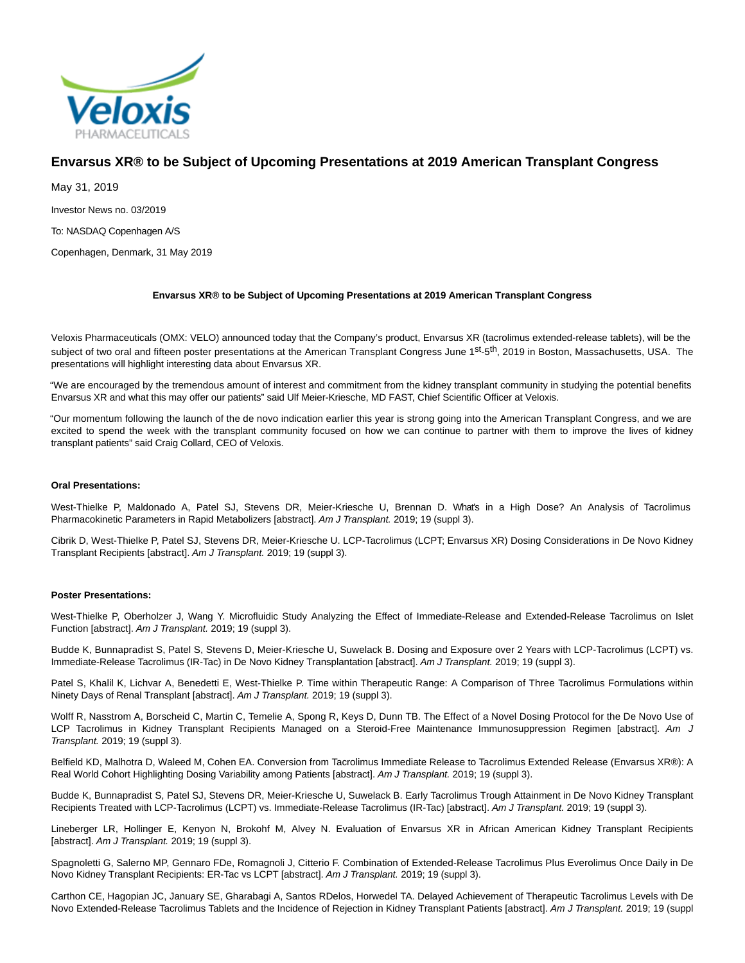

# **Envarsus XR® to be Subject of Upcoming Presentations at 2019 American Transplant Congress**

May 31, 2019

Investor News no. 03/2019

To: NASDAQ Copenhagen A/S

Copenhagen, Denmark, 31 May 2019

# **Envarsus XR® to be Subject of Upcoming Presentations at 2019 American Transplant Congress**

Veloxis Pharmaceuticals (OMX: VELO) announced today that the Company's product, Envarsus XR (tacrolimus extended-release tablets), will be the subject of two oral and fifteen poster presentations at the American Transplant Congress June 1<sup>st</sup>-5<sup>th</sup>, 2019 in Boston, Massachusetts, USA. The presentations will highlight interesting data about Envarsus XR.

"We are encouraged by the tremendous amount of interest and commitment from the kidney transplant community in studying the potential benefits Envarsus XR and what this may offer our patients" said Ulf Meier-Kriesche, MD FAST, Chief Scientific Officer at Veloxis.

"Our momentum following the launch of the de novo indication earlier this year is strong going into the American Transplant Congress, and we are excited to spend the week with the transplant community focused on how we can continue to partner with them to improve the lives of kidney transplant patients" said Craig Collard, CEO of Veloxis.

## **Oral Presentations:**

West-Thielke P, Maldonado A, Patel SJ, Stevens DR, Meier-Kriesche U, Brennan D. What's in a High Dose? An Analysis of Tacrolimus Pharmacokinetic Parameters in Rapid Metabolizers [abstract]. Am J Transplant. 2019; 19 (suppl 3).

Cibrik D, West-Thielke P, Patel SJ, Stevens DR, Meier-Kriesche U. LCP-Tacrolimus (LCPT; Envarsus XR) Dosing Considerations in De Novo Kidney Transplant Recipients [abstract]. Am J Transplant. 2019; 19 (suppl 3).

## **Poster Presentations:**

West-Thielke P, Oberholzer J, Wang Y. Microfluidic Study Analyzing the Effect of Immediate-Release and Extended-Release Tacrolimus on Islet Function [abstract]. Am J Transplant. 2019; 19 (suppl 3).

Budde K, Bunnapradist S, Patel S, Stevens D, Meier-Kriesche U, Suwelack B. Dosing and Exposure over 2 Years with LCP-Tacrolimus (LCPT) vs. Immediate-Release Tacrolimus (IR-Tac) in De Novo Kidney Transplantation [abstract]. Am J Transplant. 2019; 19 (suppl 3).

Patel S, Khalil K, Lichvar A, Benedetti E, West-Thielke P. Time within Therapeutic Range: A Comparison of Three Tacrolimus Formulations within Ninety Days of Renal Transplant [abstract]. Am J Transplant. 2019; 19 (suppl 3).

Wolff R, Nasstrom A, Borscheid C, Martin C, Temelie A, Spong R, Keys D, Dunn TB. The Effect of a Novel Dosing Protocol for the De Novo Use of LCP Tacrolimus in Kidney Transplant Recipients Managed on a Steroid-Free Maintenance Immunosuppression Regimen [abstract]. Am J Transplant. 2019; 19 (suppl 3).

Belfield KD, Malhotra D, Waleed M, Cohen EA. Conversion from Tacrolimus Immediate Release to Tacrolimus Extended Release (Envarsus XR®): A Real World Cohort Highlighting Dosing Variability among Patients [abstract]. Am J Transplant. 2019; 19 (suppl 3).

Budde K, Bunnapradist S, Patel SJ, Stevens DR, Meier-Kriesche U, Suwelack B. Early Tacrolimus Trough Attainment in De Novo Kidney Transplant Recipients Treated with LCP-Tacrolimus (LCPT) vs. Immediate-Release Tacrolimus (IR-Tac) [abstract]. Am J Transplant. 2019; 19 (suppl 3).

Lineberger LR, Hollinger E, Kenyon N, Brokohf M, Alvey N. Evaluation of Envarsus XR in African American Kidney Transplant Recipients [abstract]. Am J Transplant. 2019; 19 (suppl 3).

Spagnoletti G, Salerno MP, Gennaro FDe, Romagnoli J, Citterio F. Combination of Extended-Release Tacrolimus Plus Everolimus Once Daily in De Novo Kidney Transplant Recipients: ER-Tac vs LCPT [abstract]. Am J Transplant. 2019; 19 (suppl 3).

Carthon CE, Hagopian JC, January SE, Gharabagi A, Santos RDelos, Horwedel TA. Delayed Achievement of Therapeutic Tacrolimus Levels with De Novo Extended-Release Tacrolimus Tablets and the Incidence of Rejection in Kidney Transplant Patients [abstract]. Am J Transplant. 2019; 19 (suppl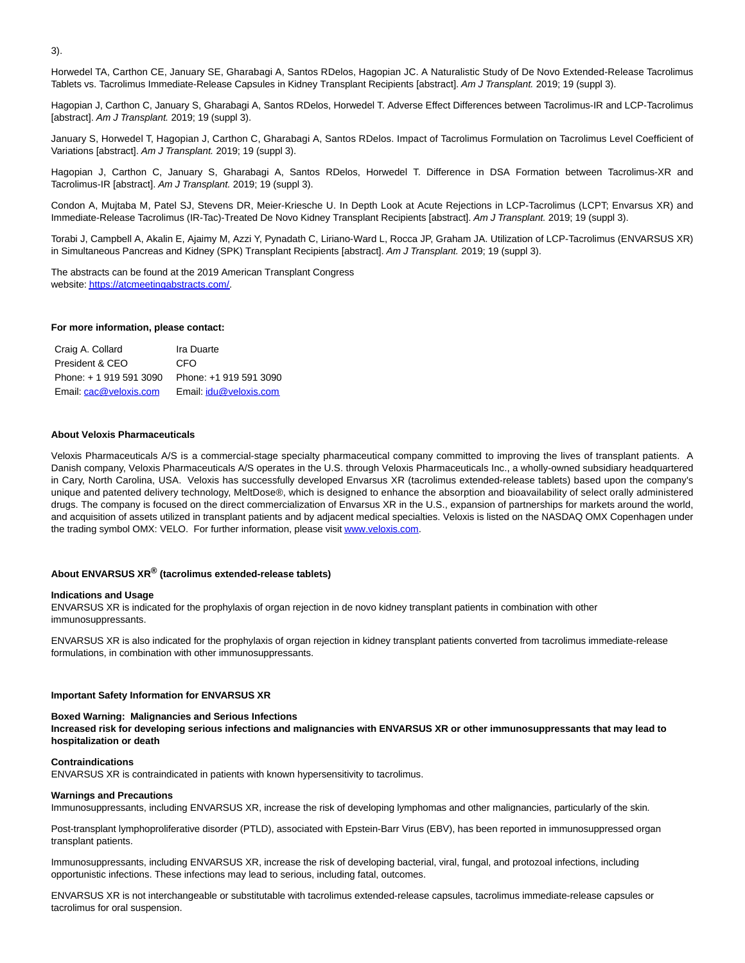3).

Horwedel TA, Carthon CE, January SE, Gharabagi A, Santos RDelos, Hagopian JC. A Naturalistic Study of De Novo Extended-Release Tacrolimus Tablets vs. Tacrolimus Immediate-Release Capsules in Kidney Transplant Recipients [abstract]. Am J Transplant. 2019; 19 (suppl 3).

Hagopian J, Carthon C, January S, Gharabagi A, Santos RDelos, Horwedel T. Adverse Effect Differences between Tacrolimus-IR and LCP-Tacrolimus [abstract]. Am J Transplant. 2019; 19 (suppl 3).

January S, Horwedel T, Hagopian J, Carthon C, Gharabagi A, Santos RDelos. Impact of Tacrolimus Formulation on Tacrolimus Level Coefficient of Variations [abstract]. Am J Transplant. 2019; 19 (suppl 3).

Hagopian J, Carthon C, January S, Gharabagi A, Santos RDelos, Horwedel T. Difference in DSA Formation between Tacrolimus-XR and Tacrolimus-IR [abstract]. Am J Transplant. 2019; 19 (suppl 3).

Condon A, Mujtaba M, Patel SJ, Stevens DR, Meier-Kriesche U. In Depth Look at Acute Rejections in LCP-Tacrolimus (LCPT; Envarsus XR) and Immediate-Release Tacrolimus (IR-Tac)-Treated De Novo Kidney Transplant Recipients [abstract]. Am J Transplant. 2019; 19 (suppl 3).

Torabi J, Campbell A, Akalin E, Ajaimy M, Azzi Y, Pynadath C, Liriano-Ward L, Rocca JP, Graham JA. Utilization of LCP-Tacrolimus (ENVARSUS XR) in Simultaneous Pancreas and Kidney (SPK) Transplant Recipients [abstract]. Am J Transplant. 2019; 19 (suppl 3).

The abstracts can be found at the 2019 American Transplant Congress website[: https://atcmeetingabstracts.com/.](https://www.globenewswire.com/Tracker?data=DiMrzT7xIjslzRR44ZEKtD9MA6N9rdFNtz1CueNFXsDpFSmMO7Zh-UgVt5BqpxtUhatFCNw5K315jP_O6FbRy7WmPcaugJQuhfIKtoNR7SzltPQuIBbWwfmJmK65A2Fo) 

#### **For more information, please contact:**

Craig A. Collard Ira Duarte President & CEO CFO Phone: + 1 919 591 3090 Phone: +1 919 591 3090 Email[: cac@veloxis.com](mailto:cac@veloxis.com) Email: [idu@veloxis.com](mailto:idu@veloxis.com)

#### **About Veloxis Pharmaceuticals**

Veloxis Pharmaceuticals A/S is a commercial-stage specialty pharmaceutical company committed to improving the lives of transplant patients. A Danish company, Veloxis Pharmaceuticals A/S operates in the U.S. through Veloxis Pharmaceuticals Inc., a wholly-owned subsidiary headquartered in Cary, North Carolina, USA. Veloxis has successfully developed Envarsus XR (tacrolimus extended-release tablets) based upon the company's unique and patented delivery technology, MeltDose®, which is designed to enhance the absorption and bioavailability of select orally administered drugs. The company is focused on the direct commercialization of Envarsus XR in the U.S., expansion of partnerships for markets around the world, and acquisition of assets utilized in transplant patients and by adjacent medical specialties. Veloxis is listed on the NASDAQ OMX Copenhagen under the trading symbol OMX: VELO. For further information, please visi[t www.veloxis.com.](https://www.globenewswire.com/Tracker?data=DUf3Emj7IPY2IsHZXcZsjvWGc8CKr41_eG1n5PT464wy2QFVV5RbSUYcugvGLxQtSk0IB1KCnp_vWmdUDr1vyA==)

# **About ENVARSUS XR® (tacrolimus extended-release tablets)**

#### **Indications and Usage**

ENVARSUS XR is indicated for the prophylaxis of organ rejection in de novo kidney transplant patients in combination with other immunosuppressants.

ENVARSUS XR is also indicated for the prophylaxis of organ rejection in kidney transplant patients converted from tacrolimus immediate-release formulations, in combination with other immunosuppressants.

#### **Important Safety Information for ENVARSUS XR**

#### **Boxed Warning: Malignancies and Serious Infections Increased risk for developing serious infections and malignancies with ENVARSUS XR or other immunosuppressants that may lead to hospitalization or death**

#### **Contraindications**

ENVARSUS XR is contraindicated in patients with known hypersensitivity to tacrolimus.

#### **Warnings and Precautions**

Immunosuppressants, including ENVARSUS XR, increase the risk of developing lymphomas and other malignancies, particularly of the skin.

Post-transplant lymphoproliferative disorder (PTLD), associated with Epstein-Barr Virus (EBV), has been reported in immunosuppressed organ transplant patients.

Immunosuppressants, including ENVARSUS XR, increase the risk of developing bacterial, viral, fungal, and protozoal infections, including opportunistic infections. These infections may lead to serious, including fatal, outcomes.

ENVARSUS XR is not interchangeable or substitutable with tacrolimus extended-release capsules, tacrolimus immediate-release capsules or tacrolimus for oral suspension.